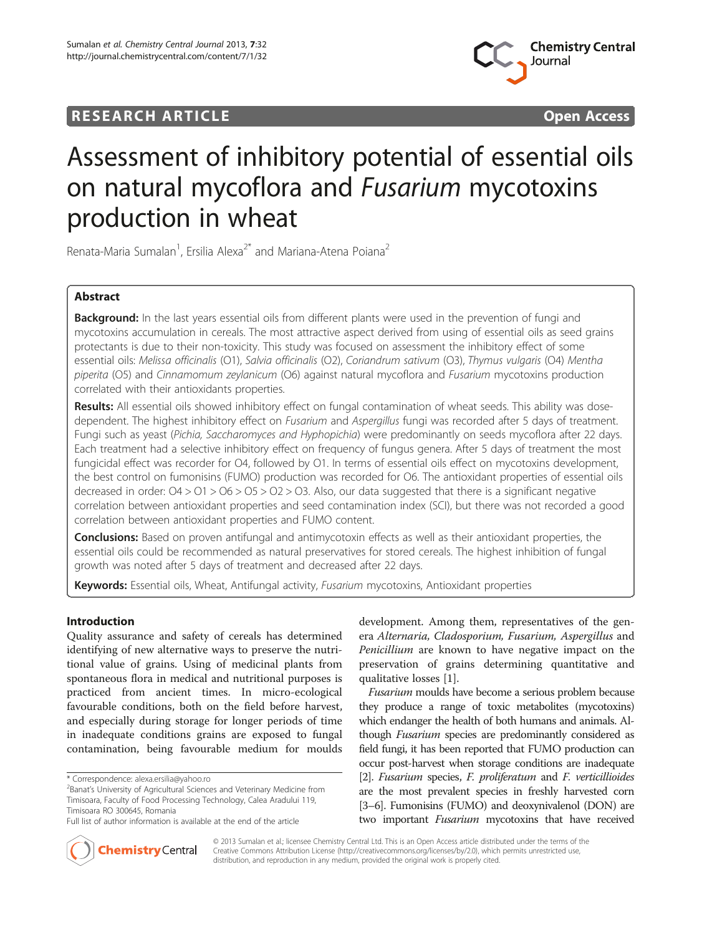# RESEARCH ARTICLE **External of the Contract Contract Contract Contract Contract Contract Contract Contract Contract Contract Contract Contract Contract Contract Contract Contract Contract Contract Contract Contract Contract**



# Assessment of inhibitory potential of essential oils on natural mycoflora and Fusarium mycotoxins production in wheat

Renata-Maria Sumalan<sup>1</sup>, Ersilia Alexa<sup>2\*</sup> and Mariana-Atena Poiana<sup>2</sup>

# Abstract

Background: In the last years essential oils from different plants were used in the prevention of fungi and mycotoxins accumulation in cereals. The most attractive aspect derived from using of essential oils as seed grains protectants is due to their non-toxicity. This study was focused on assessment the inhibitory effect of some essential oils: Melissa officinalis (O1), Salvia officinalis (O2), Coriandrum sativum (O3), Thymus vulgaris (O4) Mentha piperita (O5) and Cinnamomum zeylanicum (O6) against natural mycoflora and Fusarium mycotoxins production correlated with their antioxidants properties.

Results: All essential oils showed inhibitory effect on fungal contamination of wheat seeds. This ability was dosedependent. The highest inhibitory effect on *Fusarium* and Aspergillus fungi was recorded after 5 days of treatment. Fungi such as yeast (Pichia, Saccharomyces and Hyphopichia) were predominantly on seeds mycoflora after 22 days. Each treatment had a selective inhibitory effect on frequency of fungus genera. After 5 days of treatment the most fungicidal effect was recorder for O4, followed by O1. In terms of essential oils effect on mycotoxins development, the best control on fumonisins (FUMO) production was recorded for O6. The antioxidant properties of essential oils decreased in order: O4 > O1 > O6 > O5 > O2 > O3. Also, our data suggested that there is a significant negative correlation between antioxidant properties and seed contamination index (SCI), but there was not recorded a good correlation between antioxidant properties and FUMO content.

Conclusions: Based on proven antifungal and antimycotoxin effects as well as their antioxidant properties, the essential oils could be recommended as natural preservatives for stored cereals. The highest inhibition of fungal growth was noted after 5 days of treatment and decreased after 22 days.

Keywords: Essential oils, Wheat, Antifungal activity, Fusarium mycotoxins, Antioxidant properties

# Introduction

Quality assurance and safety of cereals has determined identifying of new alternative ways to preserve the nutritional value of grains. Using of medicinal plants from spontaneous flora in medical and nutritional purposes is practiced from ancient times. In micro-ecological favourable conditions, both on the field before harvest, and especially during storage for longer periods of time in inadequate conditions grains are exposed to fungal contamination, being favourable medium for moulds

development. Among them, representatives of the genera Alternaria, Cladosporium, Fusarium, Aspergillus and Penicillium are known to have negative impact on the preservation of grains determining quantitative and qualitative losses [\[1](#page-9-0)].

Fusarium moulds have become a serious problem because they produce a range of toxic metabolites (mycotoxins) which endanger the health of both humans and animals. Although Fusarium species are predominantly considered as field fungi, it has been reported that FUMO production can occur post-harvest when storage conditions are inadequate [[2](#page-9-0)]. Fusarium species, F. proliferatum and F. verticillioides are the most prevalent species in freshly harvested corn [[3](#page-9-0)–[6\]](#page-9-0). Fumonisins (FUMO) and deoxynivalenol (DON) are two important Fusarium mycotoxins that have received



© 2013 Sumalan et al.; licensee Chemistry Central Ltd. This is an Open Access article distributed under the terms of the Creative Commons Attribution License [\(http://creativecommons.org/licenses/by/2.0\)](http://creativecommons.org/licenses/by/2.0), which permits unrestricted use, distribution, and reproduction in any medium, provided the original work is properly cited.

<sup>\*</sup> Correspondence: [alexa.ersilia@yahoo.ro](mailto:alexa.ersilia@yahoo.ro) <sup>2</sup>

 $2$ Banat's University of Agricultural Sciences and Veterinary Medicine from Timisoara, Faculty of Food Processing Technology, Calea Aradului 119, Timisoara RO 300645, Romania

Full list of author information is available at the end of the article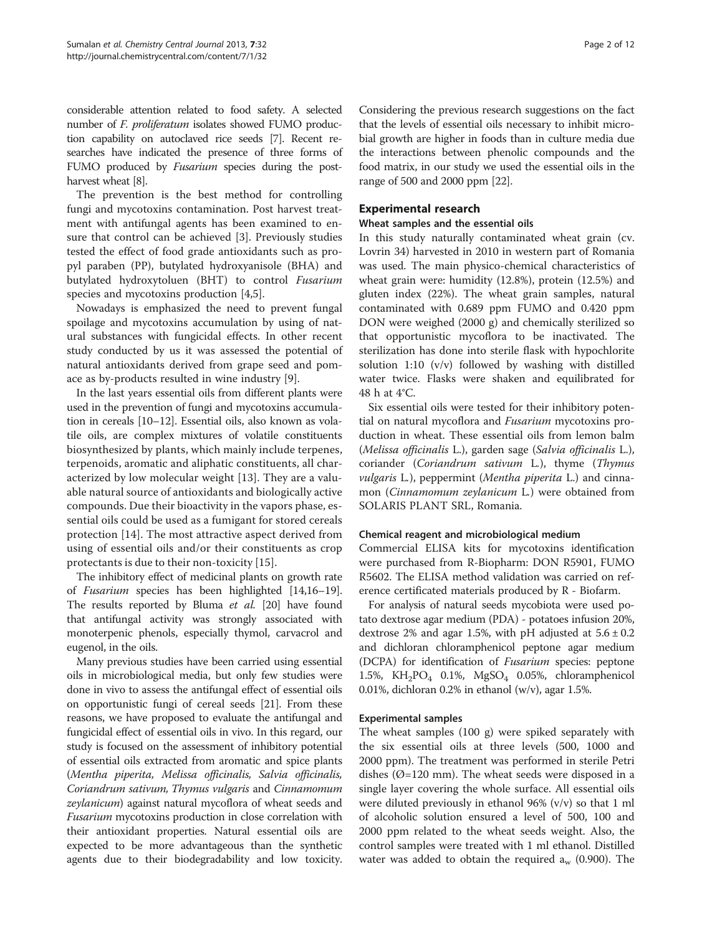considerable attention related to food safety. A selected number of F. proliferatum isolates showed FUMO production capability on autoclaved rice seeds [\[7](#page-10-0)]. Recent researches have indicated the presence of three forms of FUMO produced by *Fusarium* species during the postharvest wheat [[8](#page-10-0)].

The prevention is the best method for controlling fungi and mycotoxins contamination. Post harvest treatment with antifungal agents has been examined to ensure that control can be achieved [[3\]](#page-9-0). Previously studies tested the effect of food grade antioxidants such as propyl paraben (PP), butylated hydroxyanisole (BHA) and butylated hydroxytoluen (BHT) to control Fusarium species and mycotoxins production [\[4,5](#page-9-0)].

Nowadays is emphasized the need to prevent fungal spoilage and mycotoxins accumulation by using of natural substances with fungicidal effects. In other recent study conducted by us it was assessed the potential of natural antioxidants derived from grape seed and pomace as by-products resulted in wine industry [\[9](#page-10-0)].

In the last years essential oils from different plants were used in the prevention of fungi and mycotoxins accumulation in cereals [\[10](#page-10-0)–[12](#page-10-0)]. Essential oils, also known as volatile oils, are complex mixtures of volatile constituents biosynthesized by plants, which mainly include terpenes, terpenoids, aromatic and aliphatic constituents, all characterized by low molecular weight [[13\]](#page-10-0). They are a valuable natural source of antioxidants and biologically active compounds. Due their bioactivity in the vapors phase, essential oils could be used as a fumigant for stored cereals protection [[14\]](#page-10-0). The most attractive aspect derived from using of essential oils and/or their constituents as crop protectants is due to their non-toxicity [[15\]](#page-10-0).

The inhibitory effect of medicinal plants on growth rate of Fusarium species has been highlighted [[14,16](#page-10-0)–[19](#page-10-0)]. The results reported by Bluma et al. [\[20](#page-10-0)] have found that antifungal activity was strongly associated with monoterpenic phenols, especially thymol, carvacrol and eugenol, in the oils.

Many previous studies have been carried using essential oils in microbiological media, but only few studies were done in vivo to assess the antifungal effect of essential oils on opportunistic fungi of cereal seeds [\[21\]](#page-10-0). From these reasons, we have proposed to evaluate the antifungal and fungicidal effect of essential oils in vivo. In this regard, our study is focused on the assessment of inhibitory potential of essential oils extracted from aromatic and spice plants (Mentha piperita, Melissa officinalis, Salvia officinalis, Coriandrum sativum, Thymus vulgaris and Cinnamomum zeylanicum) against natural mycoflora of wheat seeds and Fusarium mycotoxins production in close correlation with their antioxidant properties. Natural essential oils are expected to be more advantageous than the synthetic agents due to their biodegradability and low toxicity. Considering the previous research suggestions on the fact that the levels of essential oils necessary to inhibit microbial growth are higher in foods than in culture media due the interactions between phenolic compounds and the food matrix, in our study we used the essential oils in the range of 500 and 2000 ppm [\[22\]](#page-10-0).

# Experimental research

#### Wheat samples and the essential oils

In this study naturally contaminated wheat grain (cv. Lovrin 34) harvested in 2010 in western part of Romania was used. The main physico-chemical characteristics of wheat grain were: humidity (12.8%), protein (12.5%) and gluten index (22%). The wheat grain samples, natural contaminated with 0.689 ppm FUMO and 0.420 ppm DON were weighed (2000 g) and chemically sterilized so that opportunistic mycoflora to be inactivated. The sterilization has done into sterile flask with hypochlorite solution 1:10 (v/v) followed by washing with distilled water twice. Flasks were shaken and equilibrated for 48 h at 4°C.

Six essential oils were tested for their inhibitory potential on natural mycoflora and *Fusarium* mycotoxins production in wheat. These essential oils from lemon balm (Melissa officinalis L.), garden sage (Salvia officinalis L.), coriander (Coriandrum sativum L.), thyme (Thymus vulgaris L.), peppermint (Mentha piperita L.) and cinnamon (Cinnamomum zeylanicum L.) were obtained from SOLARIS PLANT SRL, Romania.

# Chemical reagent and microbiological medium

Commercial ELISA kits for mycotoxins identification were purchased from R-Biopharm: DON R5901, FUMO R5602. The ELISA method validation was carried on reference certificated materials produced by R - Biofarm.

For analysis of natural seeds mycobiota were used potato dextrose agar medium (PDA) - potatoes infusion 20%, dextrose 2% and agar 1.5%, with pH adjusted at  $5.6 \pm 0.2$ and dichloran chloramphenicol peptone agar medium (DCPA) for identification of Fusarium species: peptone 1.5%,  $KH_2PO_4$  0.1%,  $MgSO_4$  0.05%, chloramphenicol 0.01%, dichloran 0.2% in ethanol (w/v), agar 1.5%.

# Experimental samples

The wheat samples (100 g) were spiked separately with the six essential oils at three levels (500, 1000 and 2000 ppm). The treatment was performed in sterile Petri dishes ( $\varnothing$ =120 mm). The wheat seeds were disposed in a single layer covering the whole surface. All essential oils were diluted previously in ethanol 96% (v/v) so that 1 ml of alcoholic solution ensured a level of 500, 100 and 2000 ppm related to the wheat seeds weight. Also, the control samples were treated with 1 ml ethanol. Distilled water was added to obtain the required  $a_w$  (0.900). The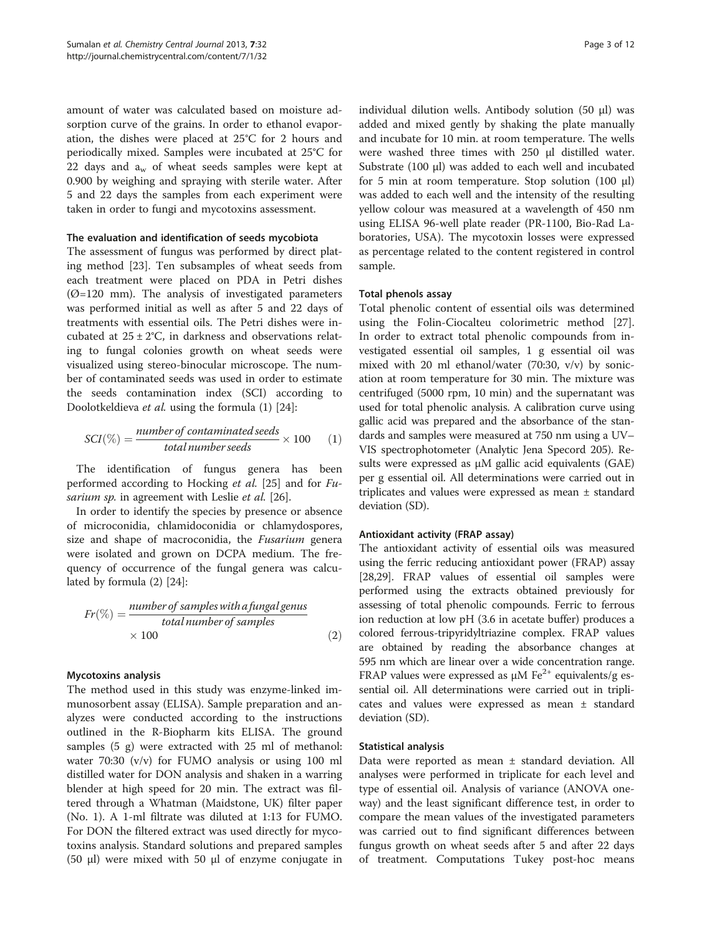amount of water was calculated based on moisture adsorption curve of the grains. In order to ethanol evaporation, the dishes were placed at 25°C for 2 hours and periodically mixed. Samples were incubated at 25°C for 22 days and  $a_w$  of wheat seeds samples were kept at 0.900 by weighing and spraying with sterile water. After 5 and 22 days the samples from each experiment were taken in order to fungi and mycotoxins assessment.

# The evaluation and identification of seeds mycobiota

The assessment of fungus was performed by direct plating method [[23\]](#page-10-0). Ten subsamples of wheat seeds from each treatment were placed on PDA in Petri dishes  $(\emptyset = 120$  mm). The analysis of investigated parameters was performed initial as well as after 5 and 22 days of treatments with essential oils. The Petri dishes were incubated at  $25 \pm 2$ °C, in darkness and observations relating to fungal colonies growth on wheat seeds were visualized using stereo-binocular microscope. The number of contaminated seeds was used in order to estimate the seeds contamination index (SCI) according to Doolotkeldieva et al. using the formula (1) [\[24\]](#page-10-0):

$$
SCI(\%) = \frac{number\ of\ contaminated\ seeds}{total\ number\ seeds} \times 100 \qquad (1)
$$

The identification of fungus genera has been performed according to Hocking et al. [[25](#page-10-0)] and for Fu-sarium sp. in agreement with Leslie et al. [\[26\]](#page-10-0).

In order to identify the species by presence or absence of microconidia, chlamidoconidia or chlamydospores, size and shape of macroconidia, the *Fusarium* genera were isolated and grown on DCPA medium. The frequency of occurrence of the fungal genera was calculated by formula (2) [\[24](#page-10-0)]:

$$
Fr(\%) = \frac{number\ of\ samples\ with\ a\ fungal\ genus\ total\ number\ of\ samples}{\times\ 100} \tag{2}
$$

# Mycotoxins analysis

The method used in this study was enzyme-linked immunosorbent assay (ELISA). Sample preparation and analyzes were conducted according to the instructions outlined in the R-Biopharm kits ELISA. The ground samples (5 g) were extracted with 25 ml of methanol: water 70:30 (v/v) for FUMO analysis or using 100 ml distilled water for DON analysis and shaken in a warring blender at high speed for 20 min. The extract was filtered through a Whatman (Maidstone, UK) filter paper (No. 1). A 1-ml filtrate was diluted at 1:13 for FUMO. For DON the filtered extract was used directly for mycotoxins analysis. Standard solutions and prepared samples (50 μl) were mixed with 50 μl of enzyme conjugate in individual dilution wells. Antibody solution (50 μl) was added and mixed gently by shaking the plate manually and incubate for 10 min. at room temperature. The wells were washed three times with 250 μl distilled water. Substrate (100 μl) was added to each well and incubated for 5 min at room temperature. Stop solution (100 μl) was added to each well and the intensity of the resulting yellow colour was measured at a wavelength of 450 nm using ELISA 96-well plate reader (PR-1100, Bio-Rad Laboratories, USA). The mycotoxin losses were expressed as percentage related to the content registered in control sample.

# Total phenols assay

Total phenolic content of essential oils was determined using the Folin-Ciocalteu colorimetric method [\[27](#page-10-0)]. In order to extract total phenolic compounds from investigated essential oil samples, 1 g essential oil was mixed with 20 ml ethanol/water (70:30, v/v) by sonication at room temperature for 30 min. The mixture was centrifuged (5000 rpm, 10 min) and the supernatant was used for total phenolic analysis. A calibration curve using gallic acid was prepared and the absorbance of the standards and samples were measured at 750 nm using a UV– VIS spectrophotometer (Analytic Jena Specord 205). Results were expressed as μM gallic acid equivalents (GAE) per g essential oil. All determinations were carried out in triplicates and values were expressed as mean ± standard deviation (SD).

# Antioxidant activity (FRAP assay)

The antioxidant activity of essential oils was measured using the ferric reducing antioxidant power (FRAP) assay [[28,29](#page-10-0)]. FRAP values of essential oil samples were performed using the extracts obtained previously for assessing of total phenolic compounds. Ferric to ferrous ion reduction at low pH (3.6 in acetate buffer) produces a colored ferrous-tripyridyltriazine complex. FRAP values are obtained by reading the absorbance changes at 595 nm which are linear over a wide concentration range. FRAP values were expressed as  $\mu$ M Fe<sup>2+</sup> equivalents/g essential oil. All determinations were carried out in triplicates and values were expressed as mean ± standard deviation (SD).

# Statistical analysis

Data were reported as mean ± standard deviation. All analyses were performed in triplicate for each level and type of essential oil. Analysis of variance (ANOVA oneway) and the least significant difference test, in order to compare the mean values of the investigated parameters was carried out to find significant differences between fungus growth on wheat seeds after 5 and after 22 days of treatment. Computations Tukey post-hoc means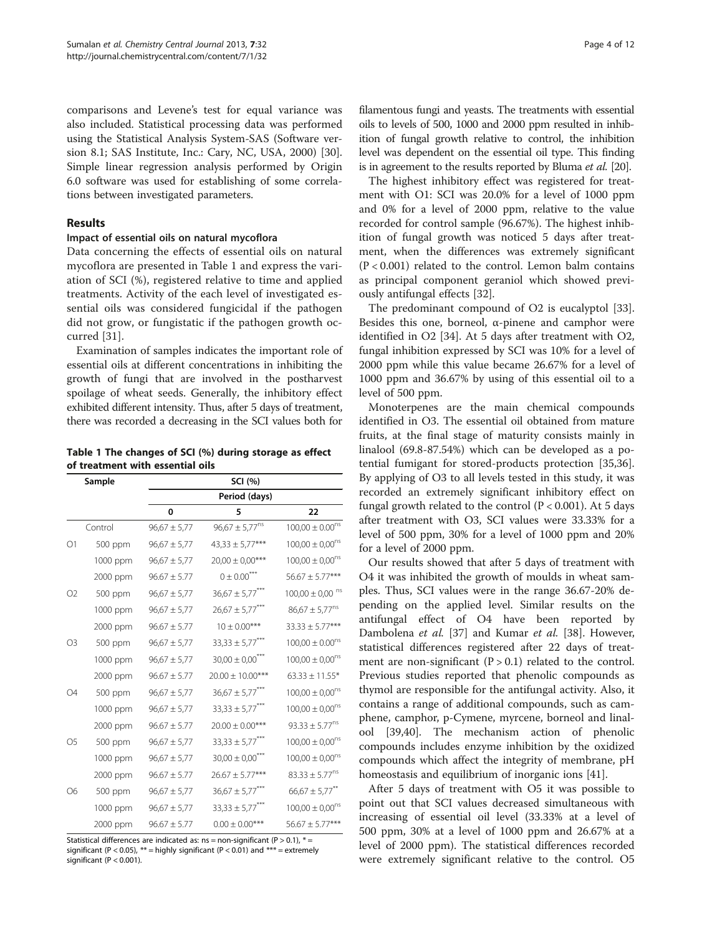comparisons and Levene's test for equal variance was also included. Statistical processing data was performed using the Statistical Analysis System-SAS (Software version 8.1; SAS Institute, Inc.: Cary, NC, USA, 2000) [\[30](#page-10-0)]. Simple linear regression analysis performed by Origin 6.0 software was used for establishing of some correlations between investigated parameters.

#### Results

#### Impact of essential oils on natural mycoflora

Data concerning the effects of essential oils on natural mycoflora are presented in Table 1 and express the variation of SCI (%), registered relative to time and applied treatments. Activity of the each level of investigated essential oils was considered fungicidal if the pathogen did not grow, or fungistatic if the pathogen growth occurred [[31\]](#page-10-0).

Examination of samples indicates the important role of essential oils at different concentrations in inhibiting the growth of fungi that are involved in the postharvest spoilage of wheat seeds. Generally, the inhibitory effect exhibited different intensity. Thus, after 5 days of treatment, there was recorded a decreasing in the SCI values both for

Table 1 The changes of SCI (%) during storage as effect of treatment with essential oils

| Sample         |          | SCI (%)          |                                 |                                 |  |  |
|----------------|----------|------------------|---------------------------------|---------------------------------|--|--|
|                |          | Period (days)    |                                 |                                 |  |  |
|                |          | 0                | 5                               | 22                              |  |  |
|                | Control  | $96,67 \pm 5,77$ | $96,67 \pm 5,77^{ns}$           | $100,00 \pm 0.00^{ns}$          |  |  |
| O <sub>1</sub> | 500 ppm  | $96,67 \pm 5,77$ | $43,33 \pm 5,77***$             | $100,00 \pm 0,00^{ns}$          |  |  |
|                | 1000 ppm | $96,67 \pm 5,77$ | $20,00 \pm 0,00$ ***            | $100,00 \pm 0,00^{ns}$          |  |  |
|                | 2000 ppm | $96.67 \pm 5.77$ | $0 \pm 0.00$ <sup>***</sup>     | $56.67 \pm 5.77***$             |  |  |
| O <sub>2</sub> | 500 ppm  | $96,67 \pm 5,77$ | $36,67 \pm 5,77***$             | $100,00 \pm 0,00$ <sup>ns</sup> |  |  |
|                | 1000 ppm | $96,67 \pm 5,77$ | $26,67 \pm 5,77***$             | $86,67 \pm 5,77^{ns}$           |  |  |
|                | 2000 ppm | $96.67 \pm 5.77$ | $10 \pm 0.00***$                | $33.33 \pm 5.77***$             |  |  |
| O <sub>3</sub> | 500 ppm  | $96,67 \pm 5,77$ | $33,33 \pm 5,77***$             | $100,00 \pm 0.00$ <sup>ns</sup> |  |  |
|                | 1000 ppm | $96,67 \pm 5,77$ | $30,00 \pm 0,00$ <sup>***</sup> | $100,00 \pm 0,00^{ns}$          |  |  |
|                | 2000 ppm | $96.67 \pm 5.77$ | $20.00 \pm 10.00$ ***           | $63.33 \pm 11.55*$              |  |  |
| Ω4             | 500 ppm  | $96,67 \pm 5,77$ | $36,67 \pm 5,77***$             | $100,00 \pm 0,00^{ns}$          |  |  |
|                | 1000 ppm | $96,67 \pm 5,77$ | $33,33 \pm 5,77***$             | $100,00 \pm 0,00^{ns}$          |  |  |
|                | 2000 ppm | $96.67 \pm 5.77$ | $20.00 \pm 0.00$ ***            | $93.33 \pm 5.77^{ns}$           |  |  |
| O <sub>5</sub> | 500 ppm  | $96,67 \pm 5,77$ | $33,33 \pm 5,77$ ***            | $100,00 \pm 0,00^{ns}$          |  |  |
|                | 1000 ppm | $96,67 \pm 5,77$ | $30,00 \pm 0,00$ <sup>***</sup> | $100,00 \pm 0,00^{ns}$          |  |  |
|                | 2000 ppm | $96.67 \pm 5.77$ | $26.67 \pm 5.77***$             | $83.33 \pm 5.77^{ns}$           |  |  |
| О6             | 500 ppm  | $96,67 \pm 5,77$ | $36,67 \pm 5,77***$             | $66,67 \pm 5,77$ <sup>**</sup>  |  |  |
|                | 1000 ppm | $96,67 \pm 5,77$ | $33,33 \pm 5,77$ <sup>***</sup> | $100,00 \pm 0,00^{ns}$          |  |  |
|                | 2000 ppm | $96.67 \pm 5.77$ | $0.00 \pm 0.00$ ***             | $56.67 \pm 5.77***$             |  |  |

Statistical differences are indicated as:  $ns = non-significant (P > 0.1), * =$ significant (P < 0.05), \*\* = highly significant (P < 0.01) and \*\*\* = extremely significant ( $P < 0.001$ ).

filamentous fungi and yeasts. The treatments with essential oils to levels of 500, 1000 and 2000 ppm resulted in inhibition of fungal growth relative to control, the inhibition level was dependent on the essential oil type. This finding is in agreement to the results reported by Bluma *et al.* [\[20\]](#page-10-0).

The highest inhibitory effect was registered for treatment with O1: SCI was 20.0% for a level of 1000 ppm and 0% for a level of 2000 ppm, relative to the value recorded for control sample (96.67%). The highest inhibition of fungal growth was noticed 5 days after treatment, when the differences was extremely significant (P < 0.001) related to the control. Lemon balm contains as principal component geraniol which showed previously antifungal effects [[32\]](#page-10-0).

The predominant compound of O2 is eucalyptol [\[33](#page-10-0)]. Besides this one, borneol,  $\alpha$ -pinene and camphor were identified in O2 [[34](#page-10-0)]. At 5 days after treatment with O2, fungal inhibition expressed by SCI was 10% for a level of 2000 ppm while this value became 26.67% for a level of 1000 ppm and 36.67% by using of this essential oil to a level of 500 ppm.

Monoterpenes are the main chemical compounds identified in O3. The essential oil obtained from mature fruits, at the final stage of maturity consists mainly in linalool (69.8-87.54%) which can be developed as a potential fumigant for stored-products protection [\[35,36](#page-10-0)]. By applying of O3 to all levels tested in this study, it was recorded an extremely significant inhibitory effect on fungal growth related to the control  $(P < 0.001)$ . At 5 days after treatment with O3, SCI values were 33.33% for a level of 500 ppm, 30% for a level of 1000 ppm and 20% for a level of 2000 ppm.

Our results showed that after 5 days of treatment with O4 it was inhibited the growth of moulds in wheat samples. Thus, SCI values were in the range 36.67-20% depending on the applied level. Similar results on the antifungal effect of O4 have been reported by Dambolena et al. [\[37](#page-10-0)] and Kumar et al. [\[38](#page-10-0)]. However, statistical differences registered after 22 days of treatment are non-significant ( $P > 0.1$ ) related to the control. Previous studies reported that phenolic compounds as thymol are responsible for the antifungal activity. Also, it contains a range of additional compounds, such as camphene, camphor, p-Cymene, myrcene, borneol and linalool [[39](#page-10-0),[40](#page-10-0)]. The mechanism action of phenolic compounds includes enzyme inhibition by the oxidized compounds which affect the integrity of membrane, pH homeostasis and equilibrium of inorganic ions [[41\]](#page-10-0).

After 5 days of treatment with O5 it was possible to point out that SCI values decreased simultaneous with increasing of essential oil level (33.33% at a level of 500 ppm, 30% at a level of 1000 ppm and 26.67% at a level of 2000 ppm). The statistical differences recorded were extremely significant relative to the control. O5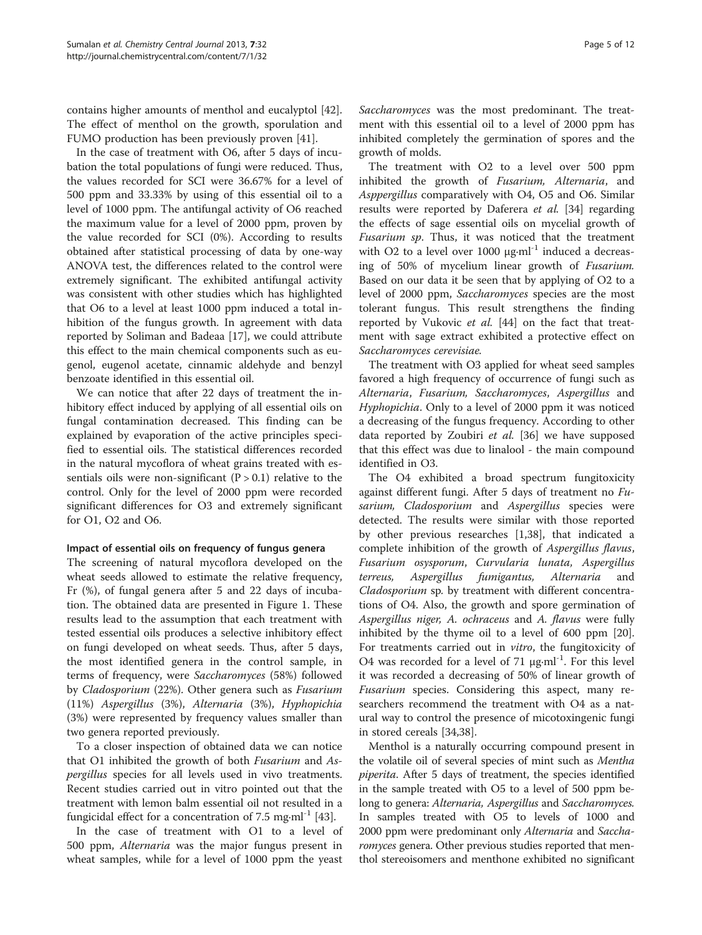contains higher amounts of menthol and eucalyptol [\[42](#page-10-0)]. The effect of menthol on the growth, sporulation and FUMO production has been previously proven [[41\]](#page-10-0).

In the case of treatment with O6, after 5 days of incubation the total populations of fungi were reduced. Thus, the values recorded for SCI were 36.67% for a level of 500 ppm and 33.33% by using of this essential oil to a level of 1000 ppm. The antifungal activity of O6 reached the maximum value for a level of 2000 ppm, proven by the value recorded for SCI (0%). According to results obtained after statistical processing of data by one-way ANOVA test, the differences related to the control were extremely significant. The exhibited antifungal activity was consistent with other studies which has highlighted that O6 to a level at least 1000 ppm induced a total inhibition of the fungus growth. In agreement with data reported by Soliman and Badeaa [[17\]](#page-10-0), we could attribute this effect to the main chemical components such as eugenol, eugenol acetate, cinnamic aldehyde and benzyl benzoate identified in this essential oil.

We can notice that after 22 days of treatment the inhibitory effect induced by applying of all essential oils on fungal contamination decreased. This finding can be explained by evaporation of the active principles specified to essential oils. The statistical differences recorded in the natural mycoflora of wheat grains treated with essentials oils were non-significant  $(P > 0.1)$  relative to the control. Only for the level of 2000 ppm were recorded significant differences for O3 and extremely significant for O1, O2 and O6.

#### Impact of essential oils on frequency of fungus genera

The screening of natural mycoflora developed on the wheat seeds allowed to estimate the relative frequency, Fr (%), of fungal genera after 5 and 22 days of incubation. The obtained data are presented in Figure [1.](#page-5-0) These results lead to the assumption that each treatment with tested essential oils produces a selective inhibitory effect on fungi developed on wheat seeds. Thus, after 5 days, the most identified genera in the control sample, in terms of frequency, were Saccharomyces (58%) followed by Cladosporium (22%). Other genera such as Fusarium (11%) Aspergillus (3%), Alternaria (3%), Hyphopichia (3%) were represented by frequency values smaller than two genera reported previously.

To a closer inspection of obtained data we can notice that O1 inhibited the growth of both Fusarium and Aspergillus species for all levels used in vivo treatments. Recent studies carried out in vitro pointed out that the treatment with lemon balm essential oil not resulted in a fungicidal effect for a concentration of 7.5 mg⋅ml<sup>-1</sup> [\[43](#page-10-0)].

In the case of treatment with O1 to a level of 500 ppm, Alternaria was the major fungus present in wheat samples, while for a level of 1000 ppm the yeast Saccharomyces was the most predominant. The treatment with this essential oil to a level of 2000 ppm has inhibited completely the germination of spores and the growth of molds.

The treatment with O2 to a level over 500 ppm inhibited the growth of Fusarium, Alternaria, and Asppergillus comparatively with O4, O5 and O6. Similar results were reported by Daferera et al. [\[34](#page-10-0)] regarding the effects of sage essential oils on mycelial growth of Fusarium sp. Thus, it was noticed that the treatment with O2 to a level over 1000  $\mu$ g·ml<sup>-1</sup> induced a decreasing of 50% of mycelium linear growth of Fusarium. Based on our data it be seen that by applying of O2 to a level of 2000 ppm, Saccharomyces species are the most tolerant fungus. This result strengthens the finding reported by Vukovic et al. [\[44](#page-10-0)] on the fact that treatment with sage extract exhibited a protective effect on Saccharomyces cerevisiae.

The treatment with O3 applied for wheat seed samples favored a high frequency of occurrence of fungi such as Alternaria, Fusarium, Saccharomyces, Aspergillus and Hyphopichia. Only to a level of 2000 ppm it was noticed a decreasing of the fungus frequency. According to other data reported by Zoubiri et al. [\[36](#page-10-0)] we have supposed that this effect was due to linalool - the main compound identified in O3.

The O4 exhibited a broad spectrum fungitoxicity against different fungi. After 5 days of treatment no Fusarium, Cladosporium and Aspergillus species were detected. The results were similar with those reported by other previous researches [\[1](#page-9-0)[,38](#page-10-0)], that indicated a complete inhibition of the growth of Aspergillus flavus, Fusarium osysporum, Curvularia lunata, Aspergillus terreus, Aspergillus fumigantus, Alternaria and Cladosporium sp. by treatment with different concentrations of O4. Also, the growth and spore germination of Aspergillus niger, A. ochraceus and A. flavus were fully inhibited by the thyme oil to a level of 600 ppm [\[20](#page-10-0)]. For treatments carried out in vitro, the fungitoxicity of O4 was recorded for a level of 71  $\mu$ g⋅ml<sup>-1</sup>. For this level it was recorded a decreasing of 50% of linear growth of Fusarium species. Considering this aspect, many researchers recommend the treatment with O4 as a natural way to control the presence of micotoxingenic fungi in stored cereals [[34](#page-10-0),[38](#page-10-0)].

Menthol is a naturally occurring compound present in the volatile oil of several species of mint such as Mentha piperita. After 5 days of treatment, the species identified in the sample treated with O5 to a level of 500 ppm belong to genera: Alternaria, Aspergillus and Saccharomyces. In samples treated with O5 to levels of 1000 and 2000 ppm were predominant only Alternaria and Saccharomyces genera. Other previous studies reported that menthol stereoisomers and menthone exhibited no significant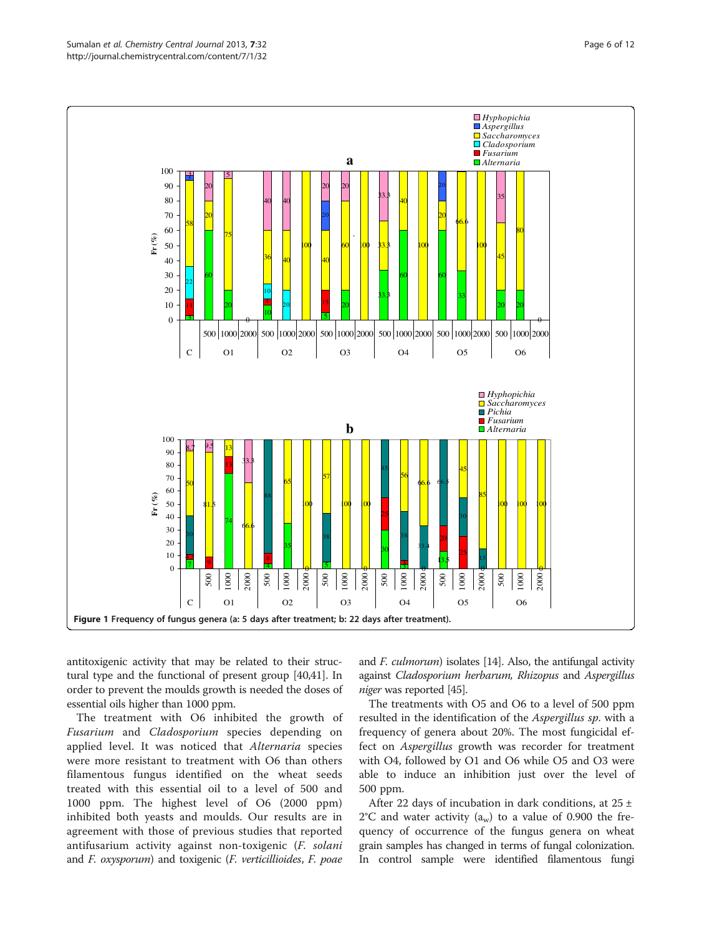<span id="page-5-0"></span>

antitoxigenic activity that may be related to their structural type and the functional of present group [\[40,41](#page-10-0)]. In order to prevent the moulds growth is needed the doses of essential oils higher than 1000 ppm.

The treatment with O6 inhibited the growth of Fusarium and Cladosporium species depending on applied level. It was noticed that *Alternaria* species were more resistant to treatment with O6 than others filamentous fungus identified on the wheat seeds treated with this essential oil to a level of 500 and 1000 ppm. The highest level of O6 (2000 ppm) inhibited both yeasts and moulds. Our results are in agreement with those of previous studies that reported antifusarium activity against non-toxigenic (F. solani and F. oxysporum) and toxigenic (F. verticillioides, F. poae and *F. culmorum*) isolates [\[14\]](#page-10-0). Also, the antifungal activity against Cladosporium herbarum, Rhizopus and Aspergillus niger was reported [[45\]](#page-10-0).

The treatments with O5 and O6 to a level of 500 ppm resulted in the identification of the *Aspergillus sp*. with a frequency of genera about 20%. The most fungicidal effect on Aspergillus growth was recorder for treatment with O4, followed by O1 and O6 while O5 and O3 were able to induce an inhibition just over the level of 500 ppm.

After 22 days of incubation in dark conditions, at  $25 \pm$  $2^{\circ}$ C and water activity (a<sub>w</sub>) to a value of 0.900 the frequency of occurrence of the fungus genera on wheat grain samples has changed in terms of fungal colonization. In control sample were identified filamentous fungi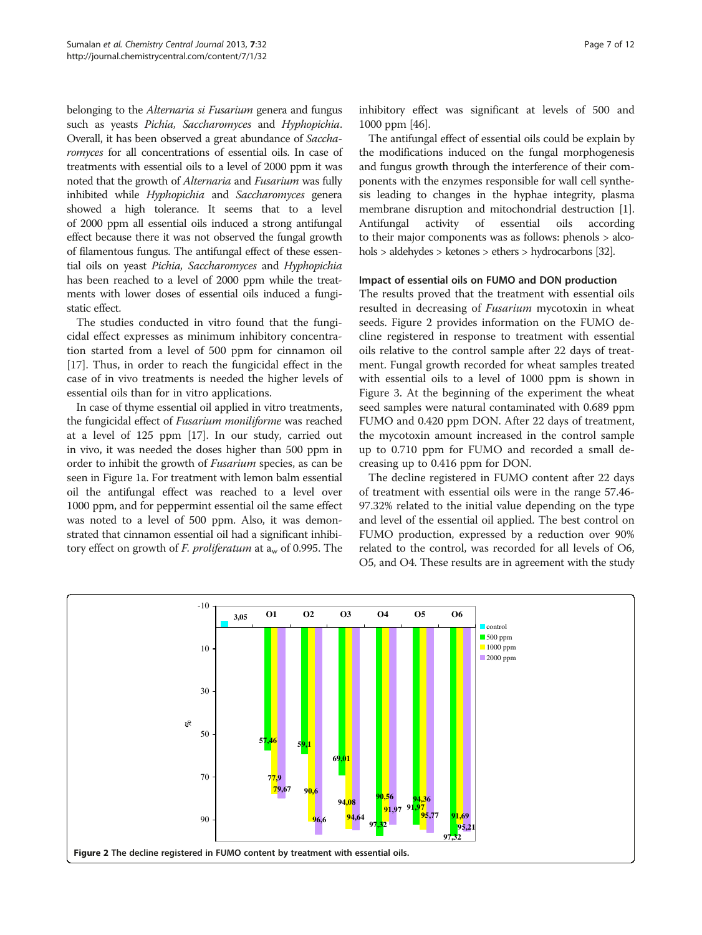belonging to the *Alternaria si Fusarium* genera and fungus such as yeasts Pichia, Saccharomyces and Hyphopichia. Overall, it has been observed a great abundance of Saccharomyces for all concentrations of essential oils. In case of treatments with essential oils to a level of 2000 ppm it was noted that the growth of Alternaria and Fusarium was fully inhibited while Hyphopichia and Saccharomyces genera showed a high tolerance. It seems that to a level of 2000 ppm all essential oils induced a strong antifungal effect because there it was not observed the fungal growth of filamentous fungus. The antifungal effect of these essential oils on yeast Pichia, Saccharomyces and Hyphopichia has been reached to a level of 2000 ppm while the treatments with lower doses of essential oils induced a fungistatic effect.

The studies conducted in vitro found that the fungicidal effect expresses as minimum inhibitory concentration started from a level of 500 ppm for cinnamon oil [[17\]](#page-10-0). Thus, in order to reach the fungicidal effect in the case of in vivo treatments is needed the higher levels of essential oils than for in vitro applications.

In case of thyme essential oil applied in vitro treatments, the fungicidal effect of Fusarium moniliforme was reached at a level of 125 ppm [\[17\]](#page-10-0). In our study, carried out in vivo, it was needed the doses higher than 500 ppm in order to inhibit the growth of Fusarium species, as can be seen in Figure [1a](#page-5-0). For treatment with lemon balm essential oil the antifungal effect was reached to a level over 1000 ppm, and for peppermint essential oil the same effect was noted to a level of 500 ppm. Also, it was demonstrated that cinnamon essential oil had a significant inhibitory effect on growth of F. proliferatum at  $a_w$  of 0.995. The inhibitory effect was significant at levels of 500 and 1000 ppm [[46](#page-10-0)].

The antifungal effect of essential oils could be explain by the modifications induced on the fungal morphogenesis and fungus growth through the interference of their components with the enzymes responsible for wall cell synthesis leading to changes in the hyphae integrity, plasma membrane disruption and mitochondrial destruction [[1](#page-9-0)]. Antifungal activity of essential oils according to their major components was as follows: phenols > alcohols > aldehydes > ketones > ethers > hydrocarbons [\[32](#page-10-0)].

#### Impact of essential oils on FUMO and DON production

The results proved that the treatment with essential oils resulted in decreasing of Fusarium mycotoxin in wheat seeds. Figure 2 provides information on the FUMO decline registered in response to treatment with essential oils relative to the control sample after 22 days of treatment. Fungal growth recorded for wheat samples treated with essential oils to a level of 1000 ppm is shown in Figure [3](#page-7-0). At the beginning of the experiment the wheat seed samples were natural contaminated with 0.689 ppm FUMO and 0.420 ppm DON. After 22 days of treatment, the mycotoxin amount increased in the control sample up to 0.710 ppm for FUMO and recorded a small decreasing up to 0.416 ppm for DON.

The decline registered in FUMO content after 22 days of treatment with essential oils were in the range 57.46- 97.32% related to the initial value depending on the type and level of the essential oil applied. The best control on FUMO production, expressed by a reduction over 90% related to the control, was recorded for all levels of O6, O5, and O4. These results are in agreement with the study

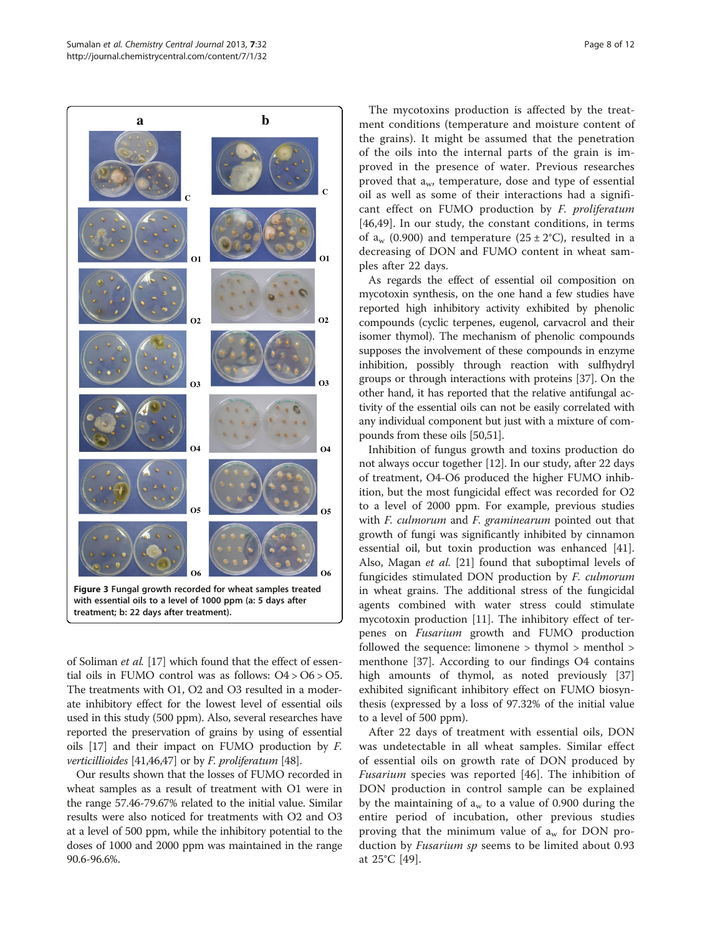<span id="page-7-0"></span>

of Soliman et al. [\[17\]](#page-10-0) which found that the effect of essential oils in FUMO control was as follows: O4 > O6 > O5. The treatments with O1, O2 and O3 resulted in a moderate inhibitory effect for the lowest level of essential oils used in this study (500 ppm). Also, several researches have reported the preservation of grains by using of essential oils [\[17\]](#page-10-0) and their impact on FUMO production by F. verticillioides [\[41,46,47](#page-10-0)] or by F. proliferatum [[48](#page-10-0)].

Our results shown that the losses of FUMO recorded in wheat samples as a result of treatment with O1 were in the range 57.46-79.67% related to the initial value. Similar results were also noticed for treatments with O2 and O3 at a level of 500 ppm, while the inhibitory potential to the doses of 1000 and 2000 ppm was maintained in the range 90.6-96.6%.

The mycotoxins production is affected by the treatment conditions (temperature and moisture content of the grains). It might be assumed that the penetration of the oils into the internal parts of the grain is improved in the presence of water. Previous researches proved that  $a_w$ , temperature, dose and type of essential oil as well as some of their interactions had a significant effect on FUMO production by F. proliferatum [[46,49](#page-10-0)]. In our study, the constant conditions, in terms of  $a_w$  (0.900) and temperature (25 ± 2°C), resulted in a decreasing of DON and FUMO content in wheat samples after 22 days.

As regards the effect of essential oil composition on mycotoxin synthesis, on the one hand a few studies have reported high inhibitory activity exhibited by phenolic compounds (cyclic terpenes, eugenol, carvacrol and their isomer thymol). The mechanism of phenolic compounds supposes the involvement of these compounds in enzyme inhibition, possibly through reaction with sulfhydryl groups or through interactions with proteins [[37](#page-10-0)]. On the other hand, it has reported that the relative antifungal activity of the essential oils can not be easily correlated with any individual component but just with a mixture of compounds from these oils [\[50,51\]](#page-10-0).

Inhibition of fungus growth and toxins production do not always occur together [\[12\]](#page-10-0). In our study, after 22 days of treatment, O4-O6 produced the higher FUMO inhibition, but the most fungicidal effect was recorded for O2 to a level of 2000 ppm. For example, previous studies with *F. culmorum* and *F. graminearum* pointed out that growth of fungi was significantly inhibited by cinnamon essential oil, but toxin production was enhanced [\[41](#page-10-0)]. Also, Magan et al. [[21\]](#page-10-0) found that suboptimal levels of fungicides stimulated DON production by F. culmorum in wheat grains. The additional stress of the fungicidal agents combined with water stress could stimulate mycotoxin production [[11\]](#page-10-0). The inhibitory effect of terpenes on Fusarium growth and FUMO production followed the sequence: limonene > thymol > menthol > menthone [[37](#page-10-0)]. According to our findings O4 contains high amounts of thymol, as noted previously [[37](#page-10-0)] exhibited significant inhibitory effect on FUMO biosynthesis (expressed by a loss of 97.32% of the initial value to a level of 500 ppm).

After 22 days of treatment with essential oils, DON was undetectable in all wheat samples. Similar effect of essential oils on growth rate of DON produced by Fusarium species was reported [\[46](#page-10-0)]. The inhibition of DON production in control sample can be explained by the maintaining of  $a_w$  to a value of 0.900 during the entire period of incubation, other previous studies proving that the minimum value of  $a_w$  for DON production by *Fusarium sp* seems to be limited about 0.93 at 25°C [[49](#page-10-0)].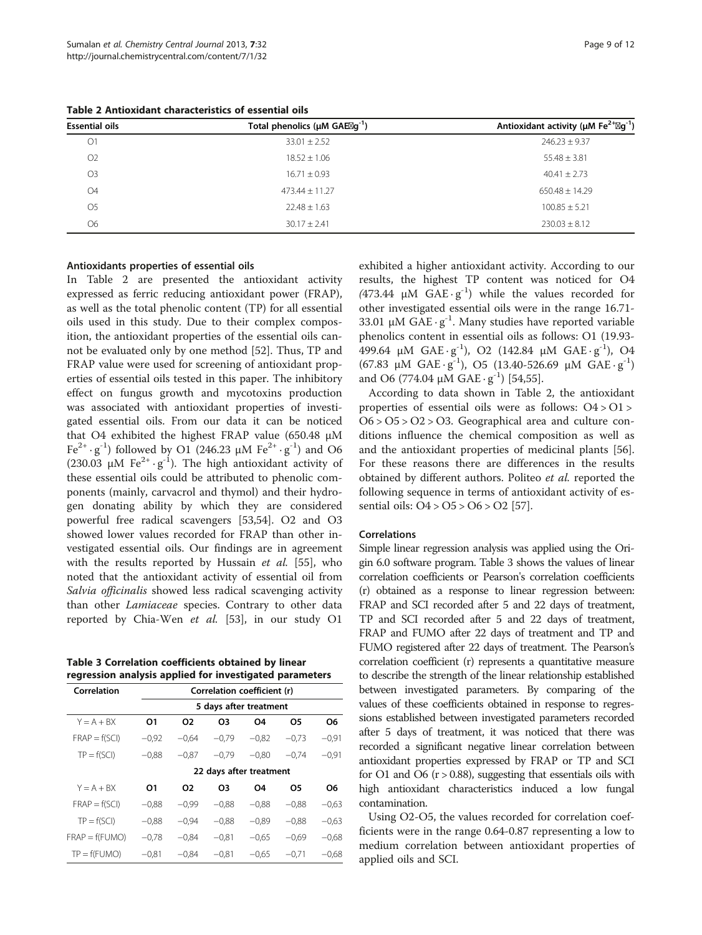| <b>Essential oils</b> | Total phenolics ( $\mu$ M GAE $\boxtimes$ g <sup>-1</sup> ) | Antioxidant activity ( $\mu$ M Fe <sup>2+</sup> $\boxtimes$ g <sup>-1</sup> ) |
|-----------------------|-------------------------------------------------------------|-------------------------------------------------------------------------------|
| O <sub>1</sub>        | $33.01 + 2.52$                                              | $246.23 + 9.37$                                                               |
| O <sub>2</sub>        | $18.52 + 1.06$                                              | $55.48 + 3.81$                                                                |
| O <sub>3</sub>        | $16.71 \pm 0.93$                                            | $40.41 \pm 2.73$                                                              |
| O <sub>4</sub>        | $473.44 \pm 11.27$                                          | $650.48 \pm 14.29$                                                            |
| O <sub>5</sub>        | $22.48 + 1.63$                                              | $100.85 + 5.21$                                                               |
| 06                    | $30.17 + 2.41$                                              | $230.03 + 8.12$                                                               |
|                       |                                                             |                                                                               |

#### Antioxidants properties of essential oils

In Table 2 are presented the antioxidant activity expressed as ferric reducing antioxidant power (FRAP), as well as the total phenolic content (TP) for all essential oils used in this study. Due to their complex composition, the antioxidant properties of the essential oils cannot be evaluated only by one method [\[52](#page-10-0)]. Thus, TP and FRAP value were used for screening of antioxidant properties of essential oils tested in this paper. The inhibitory effect on fungus growth and mycotoxins production was associated with antioxidant properties of investigated essential oils. From our data it can be noticed that O4 exhibited the highest FRAP value (650.48 μM  $Fe<sup>2+</sup> · g<sup>-1</sup>$ ) followed by O1 (246.23 μM  $Fe<sup>2+</sup> · g<sup>-1</sup>$ ) and O6 (230.03  $\mu$ M Fe<sup>2+</sup> · g<sup>-1</sup>). The high antioxidant activity of these essential oils could be attributed to phenolic components (mainly, carvacrol and thymol) and their hydrogen donating ability by which they are considered powerful free radical scavengers [\[53,54](#page-10-0)]. O2 and O3 showed lower values recorded for FRAP than other investigated essential oils. Our findings are in agreement with the results reported by Hussain et al. [\[55\]](#page-11-0), who noted that the antioxidant activity of essential oil from Salvia officinalis showed less radical scavenging activity than other Lamiaceae species. Contrary to other data reported by Chia-Wen et al. [\[53](#page-10-0)], in our study O1

Table 3 Correlation coefficients obtained by linear regression analysis applied for investigated parameters

| Correlation      |                         | Correlation coefficient (r) |         |         |         |         |  |  |  |
|------------------|-------------------------|-----------------------------|---------|---------|---------|---------|--|--|--|
|                  |                         | 5 days after treatment      |         |         |         |         |  |  |  |
| $Y = A + BX$     | 01                      | 02                          | O3      | O4      | Ο5      | Ο6      |  |  |  |
| $FRAP = f(SCI)$  | $-0.92$                 | $-0.64$                     | $-0.79$ | $-0.82$ | $-0.73$ | $-0.91$ |  |  |  |
| $TP = f(SCI)$    | $-0.88$                 | $-0.87$                     | $-0.79$ | $-0.80$ | $-0.74$ | $-0.91$ |  |  |  |
|                  | 22 days after treatment |                             |         |         |         |         |  |  |  |
| $Y = A + BX$     | Ο1                      | 02                          | O3      | 04      | 05      | Ο6      |  |  |  |
| $FRAP = f(SCI)$  | $-0.88$                 | $-0.99$                     | $-0.88$ | $-0.88$ | $-0.88$ | $-0.63$ |  |  |  |
| $TP = f(SCI)$    | $-0.88$                 | $-0.94$                     | $-0.88$ | $-0.89$ | $-0.88$ | $-0.63$ |  |  |  |
| $FRAP = f(FUMO)$ | $-0.78$                 | $-0.84$                     | $-0.81$ | $-0,65$ | $-0.69$ | $-0.68$ |  |  |  |
| $TP = f(FUMO)$   | $-0.81$                 | $-0,84$                     | $-0.81$ | $-0,65$ | $-0.71$ | $-0.68$ |  |  |  |

exhibited a higher antioxidant activity. According to our results, the highest TP content was noticed for O4 (473.44  $\mu$ M GAE · g<sup>-1</sup>) while the values recorded for other investigated essential oils were in the range 16.71- 33.01 μM GAE  $\cdot$  g<sup>-1</sup>. Many studies have reported variable phenolics content in essential oils as follows: O1 (19.93- 499.64 μM  $GAE \cdot g^{-1}$ ), O2 (142.84 μM  $GAE \cdot g^{-1}$ ), O4  $(67.83 \mu M \text{ GAE} \cdot g^{-1})$ , O5  $(13.40 - 526.69 \mu M \text{ GAE} \cdot g^{-1})$ and O6 (774.04  $\mu$ M GAE ·  $g^{-1}$ ) [\[54](#page-10-0)[,55](#page-11-0)].

According to data shown in Table 2, the antioxidant properties of essential oils were as follows: O4 > O1 >  $O6 > O5 > O2 > O3$ . Geographical area and culture conditions influence the chemical composition as well as and the antioxidant properties of medicinal plants [\[56](#page-11-0)]. For these reasons there are differences in the results obtained by different authors. Politeo et al. reported the following sequence in terms of antioxidant activity of essential oils: O4 > O5 > O6 > O2 [\[57\]](#page-11-0).

#### Correlations

Simple linear regression analysis was applied using the Origin 6.0 software program. Table 3 shows the values of linear correlation coefficients or Pearson's correlation coefficients (r) obtained as a response to linear regression between: FRAP and SCI recorded after 5 and 22 days of treatment, TP and SCI recorded after 5 and 22 days of treatment, FRAP and FUMO after 22 days of treatment and TP and FUMO registered after 22 days of treatment. The Pearson's correlation coefficient (r) represents a quantitative measure to describe the strength of the linear relationship established between investigated parameters. By comparing of the values of these coefficients obtained in response to regressions established between investigated parameters recorded after 5 days of treatment, it was noticed that there was recorded a significant negative linear correlation between antioxidant properties expressed by FRAP or TP and SCI for O1 and O6  $(r > 0.88)$ , suggesting that essentials oils with high antioxidant characteristics induced a low fungal contamination.

Using O2-O5, the values recorded for correlation coefficients were in the range 0.64-0.87 representing a low to medium correlation between antioxidant properties of applied oils and SCI.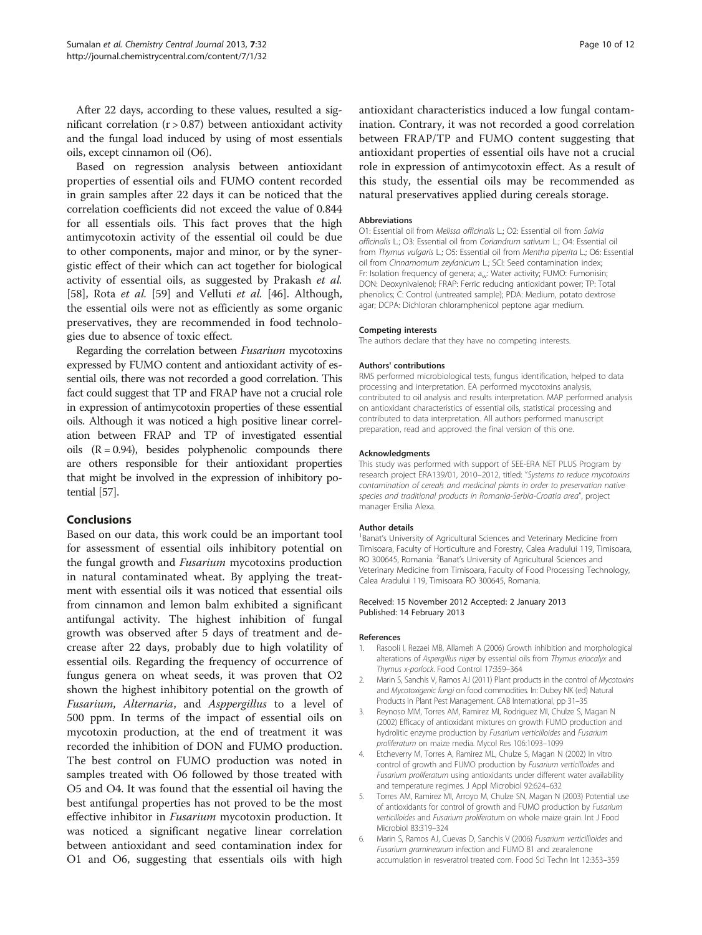<span id="page-9-0"></span>After 22 days, according to these values, resulted a significant correlation  $(r > 0.87)$  between antioxidant activity and the fungal load induced by using of most essentials oils, except cinnamon oil (O6).

Based on regression analysis between antioxidant properties of essential oils and FUMO content recorded in grain samples after 22 days it can be noticed that the correlation coefficients did not exceed the value of 0.844 for all essentials oils. This fact proves that the high antimycotoxin activity of the essential oil could be due to other components, major and minor, or by the synergistic effect of their which can act together for biological activity of essential oils, as suggested by Prakash et al. [[58\]](#page-11-0), Rota et al. [\[59\]](#page-11-0) and Velluti et al. [\[46](#page-10-0)]. Although, the essential oils were not as efficiently as some organic preservatives, they are recommended in food technologies due to absence of toxic effect.

Regarding the correlation between Fusarium mycotoxins expressed by FUMO content and antioxidant activity of essential oils, there was not recorded a good correlation. This fact could suggest that TP and FRAP have not a crucial role in expression of antimycotoxin properties of these essential oils. Although it was noticed a high positive linear correlation between FRAP and TP of investigated essential oils  $(R = 0.94)$ , besides polyphenolic compounds there are others responsible for their antioxidant properties that might be involved in the expression of inhibitory potential [[57](#page-11-0)].

# Conclusions

Based on our data, this work could be an important tool for assessment of essential oils inhibitory potential on the fungal growth and Fusarium mycotoxins production in natural contaminated wheat. By applying the treatment with essential oils it was noticed that essential oils from cinnamon and lemon balm exhibited a significant antifungal activity. The highest inhibition of fungal growth was observed after 5 days of treatment and decrease after 22 days, probably due to high volatility of essential oils. Regarding the frequency of occurrence of fungus genera on wheat seeds, it was proven that O2 shown the highest inhibitory potential on the growth of Fusarium, Alternaria, and Asppergillus to a level of 500 ppm. In terms of the impact of essential oils on mycotoxin production, at the end of treatment it was recorded the inhibition of DON and FUMO production. The best control on FUMO production was noted in samples treated with O6 followed by those treated with O5 and O4. It was found that the essential oil having the best antifungal properties has not proved to be the most effective inhibitor in *Fusarium* mycotoxin production. It was noticed a significant negative linear correlation between antioxidant and seed contamination index for O1 and O6, suggesting that essentials oils with high

antioxidant characteristics induced a low fungal contamination. Contrary, it was not recorded a good correlation between FRAP/TP and FUMO content suggesting that antioxidant properties of essential oils have not a crucial role in expression of antimycotoxin effect. As a result of this study, the essential oils may be recommended as natural preservatives applied during cereals storage.

#### Abbreviations

O1: Essential oil from Melissa officinalis L.; O2: Essential oil from Salvia officinalis L.; O3: Essential oil from Coriandrum sativum L.; O4: Essential oil from Thymus vulgaris L.; O5: Essential oil from Mentha piperita L.; O6: Essential oil from Cinnamomum zeylanicum L.; SCI: Seed contamination index; Fr: Isolation frequency of genera; aw: Water activity; FUMO: Fumonisin; DON: Deoxynivalenol; FRAP: Ferric reducing antioxidant power; TP: Total phenolics; C: Control (untreated sample); PDA: Medium, potato dextrose agar; DCPA: Dichloran chloramphenicol peptone agar medium.

#### Competing interests

The authors declare that they have no competing interests.

#### Authors' contributions

RMS performed microbiological tests, fungus identification, helped to data processing and interpretation. EA performed mycotoxins analysis, contributed to oil analysis and results interpretation. MAP performed analysis on antioxidant characteristics of essential oils, statistical processing and contributed to data interpretation. All authors performed manuscript preparation, read and approved the final version of this one.

#### Acknowledgments

This study was performed with support of SEE-ERA NET PLUS Program by research project ERA139/01, 2010–2012, titled: "Systems to reduce mycotoxins contamination of cereals and medicinal plants in order to preservation native species and traditional products in Romania-Serbia-Croatia area", project manager Ersilia Alexa.

#### Author details

<sup>1</sup>Banat's University of Agricultural Sciences and Veterinary Medicine from Timisoara, Faculty of Horticulture and Forestry, Calea Aradului 119, Timisoara, RO 300645, Romania. <sup>2</sup>Banat's University of Agricultural Sciences and Veterinary Medicine from Timisoara, Faculty of Food Processing Technology, Calea Aradului 119, Timisoara RO 300645, Romania.

#### Received: 15 November 2012 Accepted: 2 January 2013 Published: 14 February 2013

#### References

- 1. Rasooli I, Rezaei MB, Allameh A (2006) Growth inhibition and morphological alterations of Aspergillus niger by essential oils from Thymus eriocalyx and Thymus x-porlock. Food Control 17:359–364
- 2. Marin S, Sanchis V, Ramos AJ (2011) Plant products in the control of Mycotoxins and Mycotoxigenic fungi on food commodities. In: Dubey NK (ed) Natural Products in Plant Pest Management. CAB International, pp 31–35
- 3. Reynoso MM, Torres AM, Ramirez MI, Rodriguez MI, Chulze S, Magan N (2002) Efficacy of antioxidant mixtures on growth FUMO production and hydrolitic enzyme production by Fusarium verticilloides and Fusarium proliferatum on maize media. Mycol Res 106:1093–1099
- 4. Etcheverry M, Torres A, Ramirez ML, Chulze S, Magan N (2002) In vitro control of growth and FUMO production by Fusarium verticilloides and Fusarium proliferatum using antioxidants under different water availability and temperature regimes. J Appl Microbiol 92:624–632
- 5. Torres AM, Ramirez MI, Arroyo M, Chulze SN, Magan N (2003) Potential use of antioxidants for control of growth and FUMO production by Fusarium verticilloides and Fusarium proliferatum on whole maize grain. Int J Food Microbiol 83:319–324
- 6. Marin S, Ramos AJ, Cuevas D, Sanchis V (2006) Fusarium verticillioides and Fusarium graminearum infection and FUMO B1 and zearalenone accumulation in resveratrol treated corn. Food Sci Techn Int 12:353–359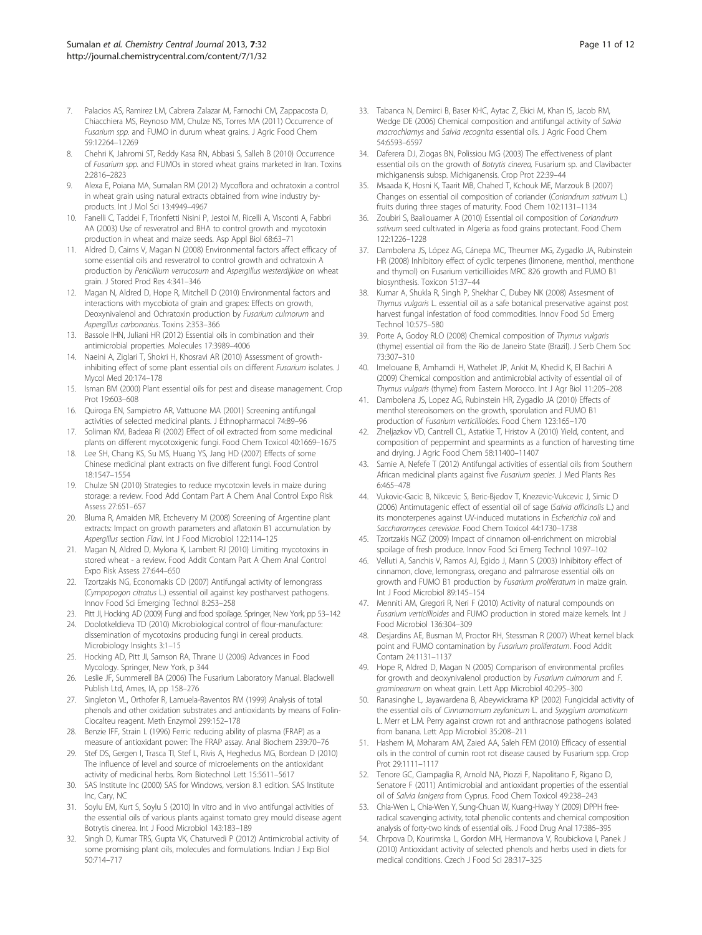- <span id="page-10-0"></span>Palacios AS, Ramirez LM, Cabrera Zalazar M, Farnochi CM, Zappacosta D, Chiacchiera MS, Reynoso MM, Chulze NS, Torres MA (2011) Occurrence of Fusarium spp. and FUMO in durum wheat grains. J Agric Food Chem 59:12264–12269
- 8. Chehri K, Jahromi ST, Reddy Kasa RN, Abbasi S, Salleh B (2010) Occurrence of Fusarium spp. and FUMOs in stored wheat grains marketed in Iran. Toxins 2:2816–2823
- 9. Alexa E, Poiana MA, Sumalan RM (2012) Mycoflora and ochratoxin a control in wheat grain using natural extracts obtained from wine industry byproducts. Int J Mol Sci 13:4949–4967
- 10. Fanelli C, Taddei F, Trionfetti Nisini P, Jestoi M, Ricelli A, Visconti A, Fabbri AA (2003) Use of resveratrol and BHA to control growth and mycotoxin production in wheat and maize seeds. Asp Appl Biol 68:63–71
- 11. Aldred D, Cairns V, Magan N (2008) Environmental factors affect efficacy of some essential oils and resveratrol to control growth and ochratoxin A production by Penicillium verrucosum and Aspergillus westerdijkiae on wheat grain. J Stored Prod Res 4:341–346
- 12. Magan N, Aldred D, Hope R, Mitchell D (2010) Environmental factors and interactions with mycobiota of grain and grapes: Effects on growth, Deoxynivalenol and Ochratoxin production by Fusarium culmorum and Aspergillus carbonarius. Toxins 2:353–366
- 13. Bassole IHN, Juliani HR (2012) Essential oils in combination and their antimicrobial properties. Molecules 17:3989–4006
- 14. Naeini A, Ziglari T, Shokri H, Khosravi AR (2010) Assessment of growthinhibiting effect of some plant essential oils on different Fusarium isolates. J Mycol Med 20:174–178
- 15. Isman BM (2000) Plant essential oils for pest and disease management. Crop Prot 19:603–608
- 16. Quiroga EN, Sampietro AR, Vattuone MA (2001) Screening antifungal activities of selected medicinal plants. J Ethnopharmacol 74:89–96
- 17. Soliman KM, Badeaa RI (2002) Effect of oil extracted from some medicinal plants on different mycotoxigenic fungi. Food Chem Toxicol 40:1669–1675
- 18. Lee SH, Chang KS, Su MS, Huang YS, Jang HD (2007) Effects of some Chinese medicinal plant extracts on five different fungi. Food Control 18:1547–1554
- 19. Chulze SN (2010) Strategies to reduce mycotoxin levels in maize during storage: a review. Food Add Contam Part A Chem Anal Control Expo Risk Assess 27:651–657
- 20. Bluma R, Amaiden MR, Etcheverry M (2008) Screening of Argentine plant extracts: Impact on growth parameters and aflatoxin B1 accumulation by Aspergillus section Flavi. Int J Food Microbiol 122:114–125
- 21. Magan N, Aldred D, Mylona K, Lambert RJ (2010) Limiting mycotoxins in stored wheat - a review. Food Addit Contam Part A Chem Anal Control Expo Risk Assess 27:644–650
- 22. Tzortzakis NG, Economakis CD (2007) Antifungal activity of lemongrass (Cympopogon citratus L.) essential oil against key postharvest pathogens. Innov Food Sci Emerging Technol 8:253–258
- 23. Pitt JI, Hocking AD (2009) Fungi and food spoilage. Springer, New York, pp 53–142
- 24. Doolotkeldieva TD (2010) Microbiological control of flour-manufacture: dissemination of mycotoxins producing fungi in cereal products. Microbiology Insights 3:1–15
- 25. Hocking AD, Pitt JI, Samson RA, Thrane U (2006) Advances in Food Mycology. Springer, New York, p 344
- 26. Leslie JF, Summerell BA (2006) The Fusarium Laboratory Manual. Blackwell Publish Ltd, Ames, IA, pp 158–276
- 27. Singleton VL, Orthofer R, Lamuela-Raventos RM (1999) Analysis of total phenols and other oxidation substrates and antioxidants by means of Folin-Ciocalteu reagent. Meth Enzymol 299:152–178
- 28. Benzie IFF, Strain L (1996) Ferric reducing ability of plasma (FRAP) as a measure of antioxidant power: The FRAP assay. Anal Biochem 239:70–76
- 29. Stef DS, Gergen I, Trasca TI, Stef L, Rivis A, Heghedus MG, Bordean D (2010) The influence of level and source of microelements on the antioxidant activity of medicinal herbs. Rom Biotechnol Lett 15:5611–5617
- 30. SAS Institute Inc (2000) SAS for Windows, version 8.1 edition. SAS Institute Inc, Cary, NC
- 31. Soylu EM, Kurt S, Soylu S (2010) In vitro and in vivo antifungal activities of the essential oils of various plants against tomato grey mould disease agent Botrytis cinerea. Int J Food Microbiol 143:183–189
- 32. Singh D, Kumar TRS, Gupta VK, Chaturvedi P (2012) Antimicrobial activity of some promising plant oils, molecules and formulations. Indian J Exp Biol 50:714–717
- 33. Tabanca N, Demirci B, Baser KHC, Aytac Z, Ekici M, Khan IS, Jacob RM, Wedge DE (2006) Chemical composition and antifungal activity of Salvia macrochlamys and Salvia recognita essential oils. J Agric Food Chem 54:6593–6597
- 34. Daferera DJ, Ziogas BN, Polissiou MG (2003) The effectiveness of plant essential oils on the growth of Botrytis cinerea, Fusarium sp. and Clavibacter michiganensis subsp. Michiganensis. Crop Prot 22:39–44
- 35. Msaada K, Hosni K, Taarit MB, Chahed T, Kchouk ME, Marzouk B (2007) Changes on essential oil composition of coriander (Coriandrum sativum L.) fruits during three stages of maturity. Food Chem 102:1131–1134
- 36. Zoubiri S, Baaliouamer A (2010) Essential oil composition of Coriandrum sativum seed cultivated in Algeria as food grains protectant. Food Chem 122:1226–1228
- 37. Dambolena JS, López AG, Cánepa MC, Theumer MG, Zygadlo JA, Rubinstein HR (2008) Inhibitory effect of cyclic terpenes (limonene, menthol, menthone and thymol) on Fusarium verticillioides MRC 826 growth and FUMO B1 biosynthesis. Toxicon 51:37–44
- 38. Kumar A, Shukla R, Singh P, Shekhar C, Dubey NK (2008) Assesment of Thymus vulgaris L. essential oil as a safe botanical preservative against post harvest fungal infestation of food commodities. Innov Food Sci Emerg Technol 10:575–580
- 39. Porte A, Godoy RLO (2008) Chemical composition of Thymus vulgaris (thyme) essential oil from the Rio de Janeiro State (Brazil). J Serb Chem Soc 73:307–310
- 40. Imelouane B, Amhamdi H, Wathelet JP, Ankit M, Khedid K, El Bachiri A (2009) Chemical composition and antimicrobial activity of essential oil of Thymus vulgaris (thyme) from Eastern Morocco. Int J Agr Biol 11:205–208
- 41. Dambolena JS, Lopez AG, Rubinstein HR, Zygadlo JA (2010) Effects of menthol stereoisomers on the growth, sporulation and FUMO B1 production of Fusarium verticillioides. Food Chem 123:165–170
- 42. Zheljazkov VD, Cantrell CL, Astatkie T, Hristov A (2010) Yield, content, and composition of peppermint and spearmints as a function of harvesting time and drying. J Agric Food Chem 58:11400–11407
- 43. Samie A, Nefefe T (2012) Antifungal activities of essential oils from Southern African medicinal plants against five Fusarium species. J Med Plants Res 6:465–478
- 44. Vukovic-Gacic B, Nikcevic S, Beric-Bjedov T, Knezevic-Vukcevic J, Simic D (2006) Antimutagenic effect of essential oil of sage (Salvia officinalis L.) and its monoterpenes against UV-induced mutations in Escherichia coli and Saccharomyces cerevisiae. Food Chem Toxicol 44:1730–1738
- 45. Tzortzakis NGZ (2009) Impact of cinnamon oil-enrichment on microbial spoilage of fresh produce. Innov Food Sci Emerg Technol 10:97–102
- 46. Velluti A, Sanchis V, Ramos AJ, Egido J, Marın S (2003) Inhibitory effect of cinnamon, clove, lemongrass, oregano and palmarose essential oils on growth and FUMO B1 production by Fusarium proliferatum in maize grain. Int J Food Microbiol 89:145–154
- 47. Menniti AM, Gregori R, Neri F (2010) Activity of natural compounds on Fusarium verticillioides and FUMO production in stored maize kernels. Int J Food Microbiol 136:304–309
- Desjardins AE, Busman M, Proctor RH, Stessman R (2007) Wheat kernel black point and FUMO contamination by Fusarium proliferatum. Food Addit Contam 24:1131–1137
- 49. Hope R, Aldred D, Magan N (2005) Comparison of environmental profiles for growth and deoxynivalenol production by Fusarium culmorum and F. graminearum on wheat grain. Lett App Microbiol 40:295–300
- 50. Ranasinghe L, Jayawardena B, Abeywickrama KP (2002) Fungicidal activity of the essential oils of Cinnamomum zeylanicum L. and Syzygium aromaticum L. Merr et L.M. Perry against crown rot and anthracnose pathogens isolated from banana. Lett App Microbiol 35:208–211
- 51. Hashem M, Moharam AM, Zaied AA, Saleh FEM (2010) Efficacy of essential oils in the control of cumin root rot disease caused by Fusarium spp. Crop Prot 29:1111–1117
- 52. Tenore GC, Ciampaglia R, Arnold NA, Piozzi F, Napolitano F, Rigano D, Senatore F (2011) Antimicrobial and antioxidant properties of the essential oil of Salvia lanigera from Cyprus. Food Chem Toxicol 49:238–243
- 53. Chia-Wen L, Chia-Wen Y, Sung-Chuan W, Kuang-Hway Y (2009) DPPH freeradical scavenging activity, total phenolic contents and chemical composition analysis of forty-two kinds of essential oils. J Food Drug Anal 17:386–395
- 54. Chrpova D, Kourimska L, Gordon MH, Hermanova V, Roubickova I, Panek J (2010) Antioxidant activity of selected phenols and herbs used in diets for medical conditions. Czech J Food Sci 28:317–325